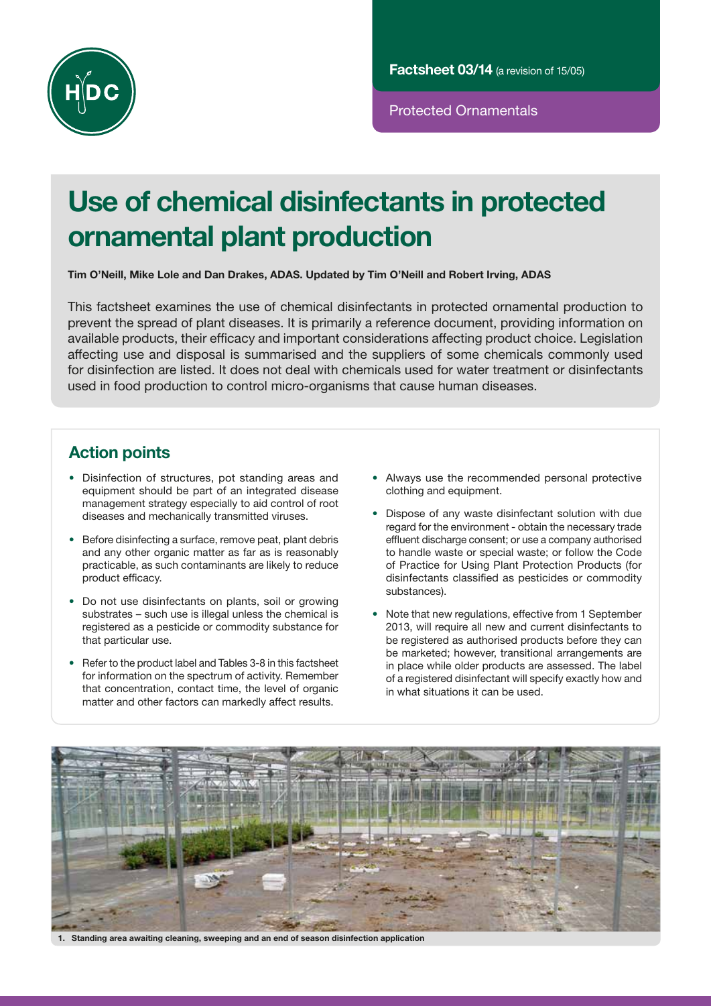

Protected Ornamentals

# Use of chemical disinfectants in protected ornamental plant production

Tim O'Neill, Mike Lole and Dan Drakes, ADAS. Updated by Tim O'Neill and Robert Irving, ADAS

This factsheet examines the use of chemical disinfectants in protected ornamental production to prevent the spread of plant diseases. It is primarily a reference document, providing information on available products, their efficacy and important considerations affecting product choice. Legislation affecting use and disposal is summarised and the suppliers of some chemicals commonly used for disinfection are listed. It does not deal with chemicals used for water treatment or disinfectants used in food production to control micro-organisms that cause human diseases.

# Action points

- Disinfection of structures, pot standing areas and equipment should be part of an integrated disease management strategy especially to aid control of root diseases and mechanically transmitted viruses.
- Before disinfecting a surface, remove peat, plant debris and any other organic matter as far as is reasonably practicable, as such contaminants are likely to reduce product efficacy.
- Do not use disinfectants on plants, soil or growing substrates – such use is illegal unless the chemical is registered as a pesticide or commodity substance for that particular use.
- Refer to the product label and Tables 3-8 in this factsheet for information on the spectrum of activity. Remember that concentration, contact time, the level of organic matter and other factors can markedly affect results.
- Always use the recommended personal protective clothing and equipment.
- Dispose of any waste disinfectant solution with due regard for the environment - obtain the necessary trade effluent discharge consent; or use a company authorised to handle waste or special waste; or follow the Code of Practice for Using Plant Protection Products (for disinfectants classified as pesticides or commodity substances).
- Note that new regulations, effective from 1 September 2013, will require all new and current disinfectants to be registered as authorised products before they can be marketed; however, transitional arrangements are in place while older products are assessed. The label of a registered disinfectant will specify exactly how and in what situations it can be used.



1. Standing area awaiting cleaning, sweeping and an end of season disinfection application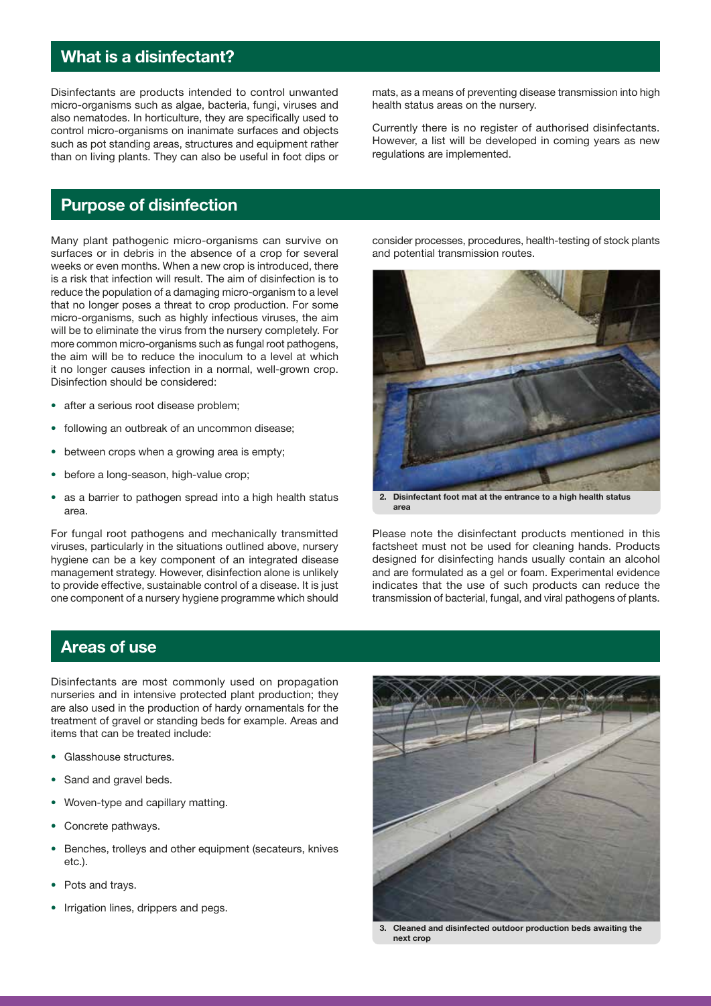# What is a disinfectant?

Disinfectants are products intended to control unwanted micro-organisms such as algae, bacteria, fungi, viruses and also nematodes. In horticulture, they are specifically used to control micro-organisms on inanimate surfaces and objects such as pot standing areas, structures and equipment rather than on living plants. They can also be useful in foot dips or

Purpose of disinfection

Many plant pathogenic micro-organisms can survive on surfaces or in debris in the absence of a crop for several weeks or even months. When a new crop is introduced, there is a risk that infection will result. The aim of disinfection is to reduce the population of a damaging micro-organism to a level that no longer poses a threat to crop production. For some micro-organisms, such as highly infectious viruses, the aim will be to eliminate the virus from the nursery completely. For more common micro-organisms such as fungal root pathogens, the aim will be to reduce the inoculum to a level at which it no longer causes infection in a normal, well-grown crop. Disinfection should be considered:

- after a serious root disease problem;
- following an outbreak of an uncommon disease;
- between crops when a growing area is empty;
- before a long-season, high-value crop;
- as a barrier to pathogen spread into a high health status area.

For fungal root pathogens and mechanically transmitted viruses, particularly in the situations outlined above, nursery hygiene can be a key component of an integrated disease management strategy. However, disinfection alone is unlikely to provide effective, sustainable control of a disease. It is just one component of a nursery hygiene programme which should mats, as a means of preventing disease transmission into high health status areas on the nursery.

Currently there is no register of authorised disinfectants. However, a list will be developed in coming years as new regulations are implemented.

consider processes, procedures, health-testing of stock plants and potential transmission routes.



2. Disinfectant foot mat at the entrance to a high health status area

Please note the disinfectant products mentioned in this factsheet must not be used for cleaning hands. Products designed for disinfecting hands usually contain an alcohol and are formulated as a gel or foam. Experimental evidence indicates that the use of such products can reduce the transmission of bacterial, fungal, and viral pathogens of plants.

# Areas of use

Disinfectants are most commonly used on propagation nurseries and in intensive protected plant production; they are also used in the production of hardy ornamentals for the treatment of gravel or standing beds for example. Areas and items that can be treated include:

- Glasshouse structures.
- Sand and gravel beds.
- Woven-type and capillary matting.
- Concrete pathways.
- Benches, trolleys and other equipment (secateurs, knives etc.).
- Pots and trays.
- Irrigation lines, drippers and pegs.



3. Cleaned and disinfected outdoor production beds awaiting the next crop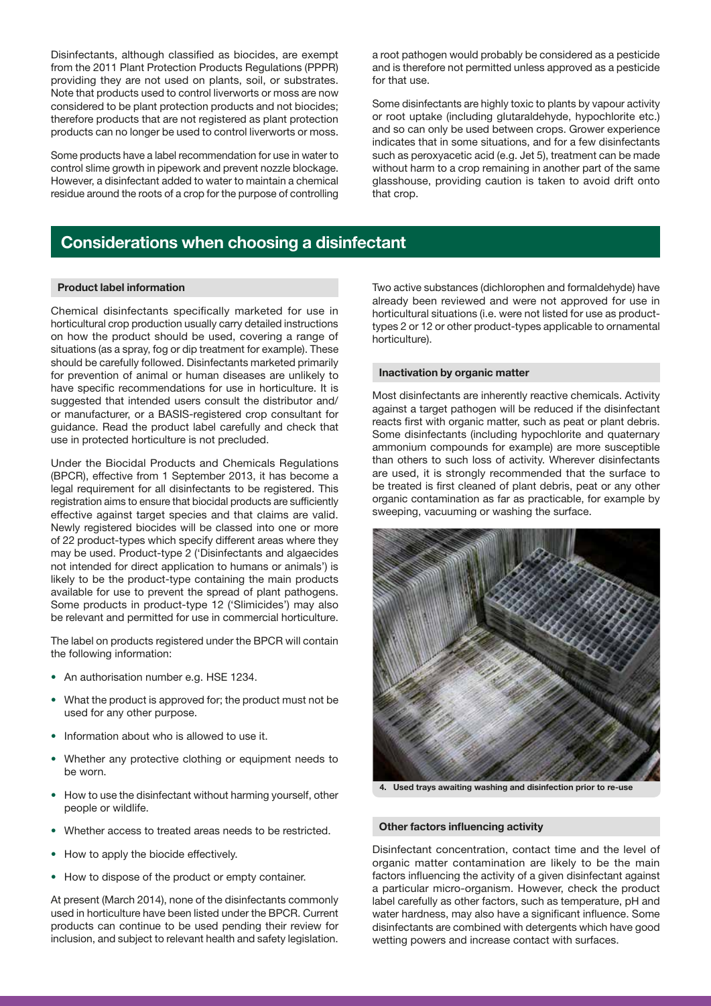Disinfectants, although classified as biocides, are exempt from the 2011 Plant Protection Products Regulations (PPPR) providing they are not used on plants, soil, or substrates. Note that products used to control liverworts or moss are now considered to be plant protection products and not biocides; therefore products that are not registered as plant protection products can no longer be used to control liverworts or moss.

Some products have a label recommendation for use in water to control slime growth in pipework and prevent nozzle blockage. However, a disinfectant added to water to maintain a chemical residue around the roots of a crop for the purpose of controlling a root pathogen would probably be considered as a pesticide and is therefore not permitted unless approved as a pesticide for that use.

Some disinfectants are highly toxic to plants by vapour activity or root uptake (including glutaraldehyde, hypochlorite etc.) and so can only be used between crops. Grower experience indicates that in some situations, and for a few disinfectants such as peroxyacetic acid (e.g. Jet 5), treatment can be made without harm to a crop remaining in another part of the same glasshouse, providing caution is taken to avoid drift onto that crop.

### Considerations when choosing a disinfectant

#### Product label information

Chemical disinfectants specifically marketed for use in horticultural crop production usually carry detailed instructions on how the product should be used, covering a range of situations (as a spray, fog or dip treatment for example). These should be carefully followed. Disinfectants marketed primarily for prevention of animal or human diseases are unlikely to have specific recommendations for use in horticulture. It is suggested that intended users consult the distributor and/ or manufacturer, or a BASIS-registered crop consultant for guidance. Read the product label carefully and check that use in protected horticulture is not precluded.

Under the Biocidal Products and Chemicals Regulations (BPCR), effective from 1 September 2013, it has become a legal requirement for all disinfectants to be registered. This registration aims to ensure that biocidal products are sufficiently effective against target species and that claims are valid. Newly registered biocides will be classed into one or more of 22 product-types which specify different areas where they may be used. Product-type 2 ('Disinfectants and algaecides not intended for direct application to humans or animals') is likely to be the product-type containing the main products available for use to prevent the spread of plant pathogens. Some products in product-type 12 ('Slimicides') may also be relevant and permitted for use in commercial horticulture.

The label on products registered under the BPCR will contain the following information:

- An authorisation number e.g. HSE 1234.
- What the product is approved for; the product must not be used for any other purpose.
- Information about who is allowed to use it.
- Whether any protective clothing or equipment needs to be worn.
- How to use the disinfectant without harming yourself, other people or wildlife.
- Whether access to treated areas needs to be restricted.
- How to apply the biocide effectively.
- How to dispose of the product or empty container.

At present (March 2014), none of the disinfectants commonly used in horticulture have been listed under the BPCR. Current products can continue to be used pending their review for inclusion, and subject to relevant health and safety legislation.

Two active substances (dichlorophen and formaldehyde) have already been reviewed and were not approved for use in horticultural situations (i.e. were not listed for use as producttypes 2 or 12 or other product-types applicable to ornamental horticulture).

#### Inactivation by organic matter

Most disinfectants are inherently reactive chemicals. Activity against a target pathogen will be reduced if the disinfectant reacts first with organic matter, such as peat or plant debris. Some disinfectants (including hypochlorite and quaternary ammonium compounds for example) are more susceptible than others to such loss of activity. Wherever disinfectants are used, it is strongly recommended that the surface to be treated is first cleaned of plant debris, peat or any other organic contamination as far as practicable, for example by sweeping, vacuuming or washing the surface.



4. Used trays awaiting washing and disinfection prior to re-use

#### Other factors influencing activity

Disinfectant concentration, contact time and the level of organic matter contamination are likely to be the main factors influencing the activity of a given disinfectant against a particular micro-organism. However, check the product label carefully as other factors, such as temperature, pH and water hardness, may also have a significant influence. Some disinfectants are combined with detergents which have good wetting powers and increase contact with surfaces.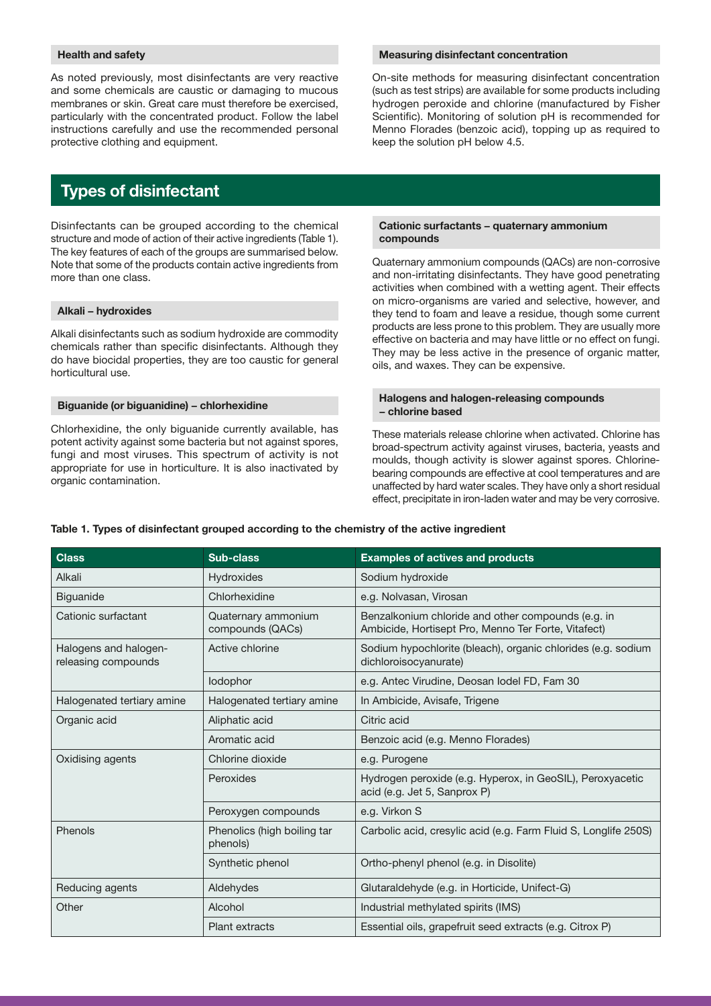#### Health and safety

As noted previously, most disinfectants are very reactive and some chemicals are caustic or damaging to mucous membranes or skin. Great care must therefore be exercised, particularly with the concentrated product. Follow the label instructions carefully and use the recommended personal protective clothing and equipment.

# Types of disinfectant

Disinfectants can be grouped according to the chemical structure and mode of action of their active ingredients (Table 1). The key features of each of the groups are summarised below. Note that some of the products contain active ingredients from more than one class.

#### Alkali − hydroxides

Alkali disinfectants such as sodium hydroxide are commodity chemicals rather than specific disinfectants. Although they do have biocidal properties, they are too caustic for general horticultural use.

#### Biguanide (or biguanidine) − chlorhexidine

Chlorhexidine, the only biguanide currently available, has potent activity against some bacteria but not against spores, fungi and most viruses. This spectrum of activity is not appropriate for use in horticulture. It is also inactivated by organic contamination.

#### Measuring disinfectant concentration

On-site methods for measuring disinfectant concentration (such as test strips) are available for some products including hydrogen peroxide and chlorine (manufactured by Fisher Scientific). Monitoring of solution pH is recommended for Menno Florades (benzoic acid), topping up as required to keep the solution pH below 4.5.

#### Cationic surfactants − quaternary ammonium compounds

Quaternary ammonium compounds (QACs) are non-corrosive and non-irritating disinfectants. They have good penetrating activities when combined with a wetting agent. Their effects on micro-organisms are varied and selective, however, and they tend to foam and leave a residue, though some current products are less prone to this problem. They are usually more effective on bacteria and may have little or no effect on fungi. They may be less active in the presence of organic matter, oils, and waxes. They can be expensive.

#### Halogens and halogen-releasing compounds − chlorine based

These materials release chlorine when activated. Chlorine has broad-spectrum activity against viruses, bacteria, yeasts and moulds, though activity is slower against spores. Chlorinebearing compounds are effective at cool temperatures and are unaffected by hard water scales. They have only a short residual effect, precipitate in iron-laden water and may be very corrosive.

| <b>Class</b>                                 | <b>Sub-class</b>                        | <b>Examples of actives and products</b>                                                                   |  |
|----------------------------------------------|-----------------------------------------|-----------------------------------------------------------------------------------------------------------|--|
| Alkali                                       | Hydroxides                              | Sodium hydroxide                                                                                          |  |
| <b>Biguanide</b>                             | Chlorhexidine                           | e.g. Nolvasan, Virosan                                                                                    |  |
| Cationic surfactant                          | Quaternary ammonium<br>compounds (QACs) | Benzalkonium chloride and other compounds (e.g. in<br>Ambicide, Hortisept Pro, Menno Ter Forte, Vitafect) |  |
| Halogens and halogen-<br>releasing compounds | Active chlorine                         | Sodium hypochlorite (bleach), organic chlorides (e.g. sodium<br>dichloroisocyanurate)                     |  |
|                                              | lodophor                                | e.g. Antec Virudine, Deosan lodel FD, Fam 30                                                              |  |
| Halogenated tertiary amine                   | Halogenated tertiary amine              | In Ambicide, Avisafe, Trigene                                                                             |  |
| Organic acid                                 | Aliphatic acid                          | Citric acid                                                                                               |  |
|                                              | Aromatic acid                           | Benzoic acid (e.g. Menno Florades)                                                                        |  |
| Oxidising agents                             | Chlorine dioxide                        | e.g. Purogene                                                                                             |  |
|                                              | Peroxides                               | Hydrogen peroxide (e.g. Hyperox, in GeoSIL), Peroxyacetic<br>acid (e.g. Jet 5, Sanprox P)                 |  |
|                                              | Peroxygen compounds                     | e.g. Virkon S                                                                                             |  |
| Phenols                                      | Phenolics (high boiling tar<br>phenols) | Carbolic acid, cresylic acid (e.g. Farm Fluid S, Longlife 250S)                                           |  |
|                                              | Synthetic phenol                        | Ortho-phenyl phenol (e.g. in Disolite)                                                                    |  |
| Reducing agents                              | Aldehydes                               | Glutaraldehyde (e.g. in Horticide, Unifect-G)                                                             |  |
| Other                                        | Alcohol                                 | Industrial methylated spirits (IMS)                                                                       |  |
|                                              | <b>Plant extracts</b>                   | Essential oils, grapefruit seed extracts (e.g. Citrox P)                                                  |  |

#### Table 1. Types of disinfectant grouped according to the chemistry of the active ingredient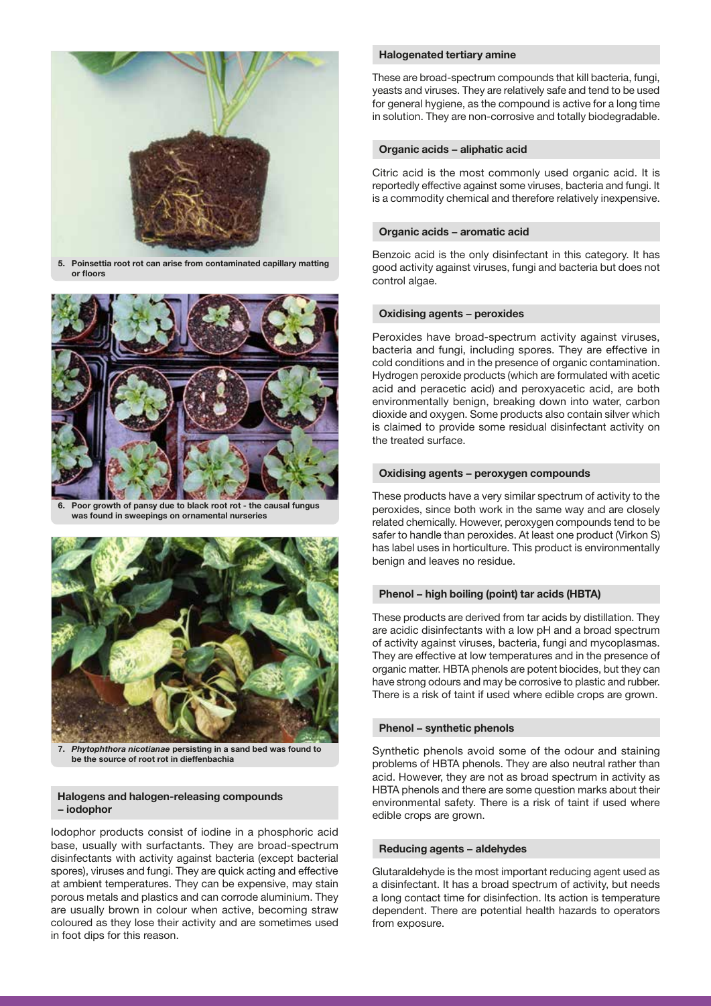

5. Poinsettia root rot can arise from contaminated capillary matting or floors



Poor growth of pansy due to black root rot - the causal fungus was found in sweepings on ornamental nurseries



7. *Phytophthora nicotianae* persisting in a sand bed was found to be the source of root rot in dieffenbachia

#### Halogens and halogen-releasing compounds − iodophor

Iodophor products consist of iodine in a phosphoric acid base, usually with surfactants. They are broad-spectrum disinfectants with activity against bacteria (except bacterial spores), viruses and fungi. They are quick acting and effective at ambient temperatures. They can be expensive, may stain porous metals and plastics and can corrode aluminium. They are usually brown in colour when active, becoming straw coloured as they lose their activity and are sometimes used in foot dips for this reason.

#### Halogenated tertiary amine

These are broad-spectrum compounds that kill bacteria, fungi, yeasts and viruses. They are relatively safe and tend to be used for general hygiene, as the compound is active for a long time in solution. They are non-corrosive and totally biodegradable.

#### Organic acids − aliphatic acid

Citric acid is the most commonly used organic acid. It is reportedly effective against some viruses, bacteria and fungi. It is a commodity chemical and therefore relatively inexpensive.

#### Organic acids − aromatic acid

Benzoic acid is the only disinfectant in this category. It has good activity against viruses, fungi and bacteria but does not control algae.

#### Oxidising agents − peroxides

Peroxides have broad-spectrum activity against viruses, bacteria and fungi, including spores. They are effective in cold conditions and in the presence of organic contamination. Hydrogen peroxide products (which are formulated with acetic acid and peracetic acid) and peroxyacetic acid, are both environmentally benign, breaking down into water, carbon dioxide and oxygen. Some products also contain silver which is claimed to provide some residual disinfectant activity on the treated surface.

#### Oxidising agents − peroxygen compounds

These products have a very similar spectrum of activity to the peroxides, since both work in the same way and are closely related chemically. However, peroxygen compounds tend to be safer to handle than peroxides. At least one product (Virkon S) has label uses in horticulture. This product is environmentally benign and leaves no residue.

#### Phenol − high boiling (point) tar acids (HBTA)

These products are derived from tar acids by distillation. They are acidic disinfectants with a low pH and a broad spectrum of activity against viruses, bacteria, fungi and mycoplasmas. They are effective at low temperatures and in the presence of organic matter. HBTA phenols are potent biocides, but they can have strong odours and may be corrosive to plastic and rubber. There is a risk of taint if used where edible crops are grown.

#### Phenol − synthetic phenols

Synthetic phenols avoid some of the odour and staining problems of HBTA phenols. They are also neutral rather than acid. However, they are not as broad spectrum in activity as HBTA phenols and there are some question marks about their environmental safety. There is a risk of taint if used where edible crops are grown.

#### Reducing agents – aldehydes

Glutaraldehyde is the most important reducing agent used as a disinfectant. It has a broad spectrum of activity, but needs a long contact time for disinfection. Its action is temperature dependent. There are potential health hazards to operators from exposure.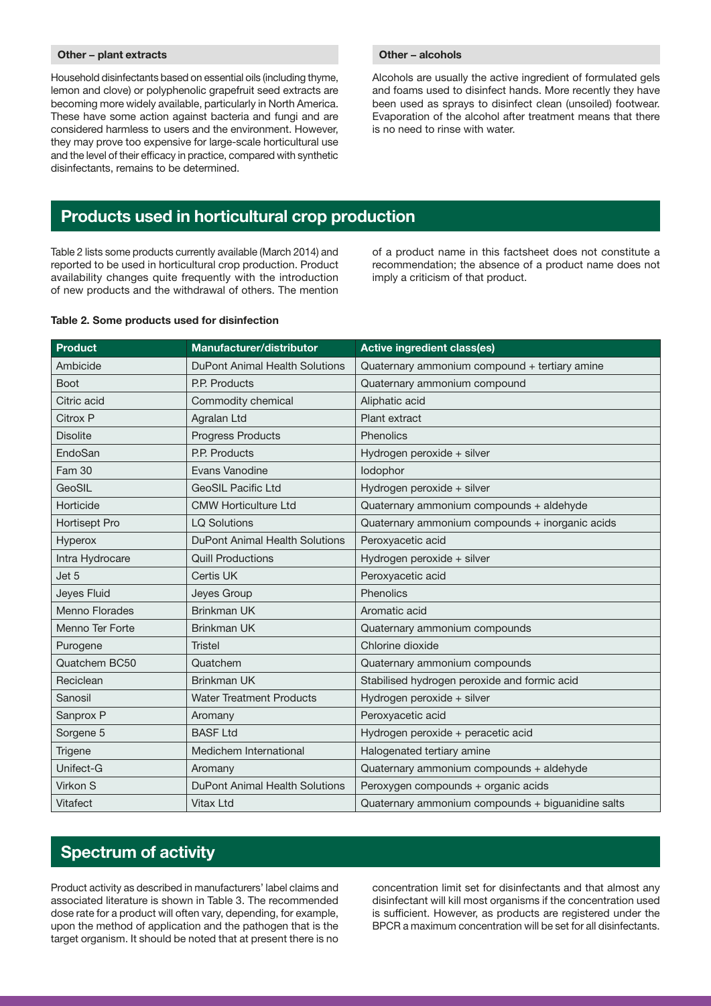#### Other − plant extracts

Household disinfectants based on essential oils (including thyme, lemon and clove) or polyphenolic grapefruit seed extracts are becoming more widely available, particularly in North America. These have some action against bacteria and fungi and are considered harmless to users and the environment. However, they may prove too expensive for large-scale horticultural use and the level of their efficacy in practice, compared with synthetic disinfectants, remains to be determined.

#### Other – alcohols

Alcohols are usually the active ingredient of formulated gels and foams used to disinfect hands. More recently they have been used as sprays to disinfect clean (unsoiled) footwear. Evaporation of the alcohol after treatment means that there is no need to rinse with water.

### Products used in horticultural crop production

Table 2 lists some products currently available (March 2014) and reported to be used in horticultural crop production. Product availability changes quite frequently with the introduction of new products and the withdrawal of others. The mention of a product name in this factsheet does not constitute a recommendation; the absence of a product name does not imply a criticism of that product.

#### Table 2. Some products used for disinfection

| <b>Product</b>        | Manufacturer/distributor              | <b>Active ingredient class(es)</b>                |
|-----------------------|---------------------------------------|---------------------------------------------------|
| Ambicide              | DuPont Animal Health Solutions        | Quaternary ammonium compound + tertiary amine     |
| <b>Boot</b>           | P.P. Products                         | Quaternary ammonium compound                      |
| Citric acid           | Commodity chemical                    | Aliphatic acid                                    |
| Citrox P              | Agralan Ltd                           | Plant extract                                     |
| <b>Disolite</b>       | <b>Progress Products</b>              | Phenolics                                         |
| EndoSan               | P.P. Products                         | Hydrogen peroxide + silver                        |
| <b>Fam 30</b>         | Evans Vanodine                        | lodophor                                          |
| GeoSIL                | <b>GeoSIL Pacific Ltd</b>             | Hydrogen peroxide + silver                        |
| Horticide             | <b>CMW Horticulture Ltd</b>           | Quaternary ammonium compounds + aldehyde          |
| Hortisept Pro         | <b>LQ Solutions</b>                   | Quaternary ammonium compounds + inorganic acids   |
| Hyperox               | DuPont Animal Health Solutions        | Peroxyacetic acid                                 |
| Intra Hydrocare       | <b>Quill Productions</b>              | Hydrogen peroxide + silver                        |
| Jet 5                 | Certis UK                             | Peroxyacetic acid                                 |
| Jeyes Fluid           | Jeyes Group                           | Phenolics                                         |
| <b>Menno Florades</b> | <b>Brinkman UK</b>                    | Aromatic acid                                     |
| Menno Ter Forte       | <b>Brinkman UK</b>                    | Quaternary ammonium compounds                     |
| Purogene              | <b>Tristel</b>                        | Chlorine dioxide                                  |
| Quatchem BC50         | Quatchem                              | Quaternary ammonium compounds                     |
| Reciclean             | <b>Brinkman UK</b>                    | Stabilised hydrogen peroxide and formic acid      |
| Sanosil               | <b>Water Treatment Products</b>       | Hydrogen peroxide + silver                        |
| Sanprox P             | Aromany                               | Peroxyacetic acid                                 |
| Sorgene 5             | <b>BASF Ltd</b>                       | Hydrogen peroxide + peracetic acid                |
| <b>Trigene</b>        | Medichem International                | Halogenated tertiary amine                        |
| Unifect-G             | Aromany                               | Quaternary ammonium compounds + aldehyde          |
| Virkon S              | <b>DuPont Animal Health Solutions</b> | Peroxygen compounds + organic acids               |
| Vitafect              | <b>Vitax Ltd</b>                      | Quaternary ammonium compounds + biguanidine salts |

### Spectrum of activity

Product activity as described in manufacturers' label claims and associated literature is shown in Table 3. The recommended dose rate for a product will often vary, depending, for example, upon the method of application and the pathogen that is the target organism. It should be noted that at present there is no

concentration limit set for disinfectants and that almost any disinfectant will kill most organisms if the concentration used is sufficient. However, as products are registered under the BPCR a maximum concentration will be set for all disinfectants.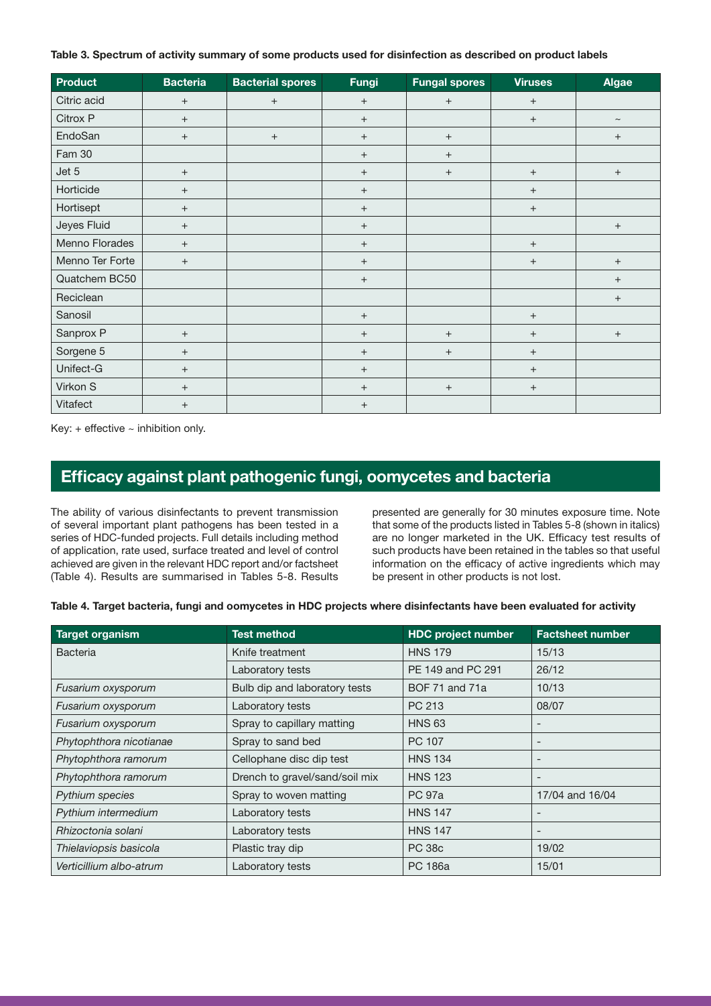#### Table 3. Spectrum of activity summary of some products used for disinfection as described on product labels

| <b>Product</b>  | <b>Bacteria</b>   | <b>Bacterial spores</b> | Fungi             | <b>Fungal spores</b> | <b>Viruses</b>    | <b>Algae</b>      |
|-----------------|-------------------|-------------------------|-------------------|----------------------|-------------------|-------------------|
| Citric acid     | $\qquad \qquad +$ | $+$                     | $+$               | $\qquad \qquad +$    | $+$               |                   |
| Citrox P        | $\qquad \qquad +$ |                         | $\qquad \qquad +$ |                      | $\qquad \qquad +$ | $\thicksim$       |
| EndoSan         | $\qquad \qquad +$ | $+$                     | $\qquad \qquad +$ | $\qquad \qquad +$    |                   | $\qquad \qquad +$ |
| Fam 30          |                   |                         | $+$               | $\boldsymbol{+}$     |                   |                   |
| Jet 5           | $\! + \!\!\!\!$   |                         | $+$               | $\qquad \qquad +$    | $\qquad \qquad +$ | $\qquad \qquad +$ |
| Horticide       | $^+$              |                         | $+$               |                      | $+$               |                   |
| Hortisept       | $^+$              |                         | $+$               |                      | $+$               |                   |
| Jeyes Fluid     | $+$               |                         | $+$               |                      |                   | $\qquad \qquad +$ |
| Menno Florades  | $+$               |                         | $+$               |                      | $\qquad \qquad +$ |                   |
| Menno Ter Forte | $+$               |                         | $^{+}$            |                      | $+$               | $+$               |
| Quatchem BC50   |                   |                         | $+$               |                      |                   | $+$               |
| Reciclean       |                   |                         |                   |                      |                   | $+$               |
| Sanosil         |                   |                         | $+$               |                      | $\qquad \qquad +$ |                   |
| Sanprox P       | $^+$              |                         | $+$               | $\boldsymbol{+}$     | $\qquad \qquad +$ | $\qquad \qquad +$ |
| Sorgene 5       | $^+$              |                         | $+$               | $\qquad \qquad +$    | $+$               |                   |
| Unifect-G       | $^+$              |                         | $\qquad \qquad +$ |                      | $^{+}$            |                   |
| Virkon S        | $^+$              |                         | $^{+}$            | $\! + \!\!\!\!$      | $^{+}$            |                   |
| Vitafect        | $\qquad \qquad +$ |                         | $+$               |                      |                   |                   |

Key:  $+$  effective  $\sim$  inhibition only.

# Efficacy against plant pathogenic fungi, oomycetes and bacteria

The ability of various disinfectants to prevent transmission of several important plant pathogens has been tested in a series of HDC-funded projects. Full details including method of application, rate used, surface treated and level of control achieved are given in the relevant HDC report and/or factsheet (Table 4). Results are summarised in Tables 5-8. Results presented are generally for 30 minutes exposure time. Note that some of the products listed in Tables 5-8 (shown in italics) are no longer marketed in the UK. Efficacy test results of such products have been retained in the tables so that useful information on the efficacy of active ingredients which may be present in other products is not lost.

Table 4. Target bacteria, fungi and oomycetes in HDC projects where disinfectants have been evaluated for activity

| <b>Target organism</b>  | <b>Test method</b>             | <b>HDC project number</b> | <b>Factsheet number</b> |
|-------------------------|--------------------------------|---------------------------|-------------------------|
| <b>Bacteria</b>         | Knife treatment                | <b>HNS 179</b>            | 15/13                   |
|                         | Laboratory tests               | PE 149 and PC 291         | 26/12                   |
| Fusarium oxysporum      | Bulb dip and laboratory tests  | <b>BOF 71 and 71a</b>     | 10/13                   |
| Fusarium oxysporum      | Laboratory tests               | PC 213                    | 08/07                   |
| Fusarium oxysporum      | Spray to capillary matting     | <b>HNS 63</b>             |                         |
| Phytophthora nicotianae | Spray to sand bed              | PC 107                    |                         |
| Phytophthora ramorum    | Cellophane disc dip test       | <b>HNS 134</b>            |                         |
| Phytophthora ramorum    | Drench to gravel/sand/soil mix | <b>HNS 123</b>            |                         |
| Pythium species         | Spray to woven matting         | <b>PC 97a</b>             | 17/04 and 16/04         |
| Pythium intermedium     | Laboratory tests               | <b>HNS 147</b>            |                         |
| Rhizoctonia solani      | Laboratory tests               | <b>HNS 147</b>            |                         |
| Thielaviopsis basicola  | Plastic tray dip               | <b>PC 38c</b>             | 19/02                   |
| Verticillium albo-atrum | Laboratory tests               | PC 186a                   | 15/01                   |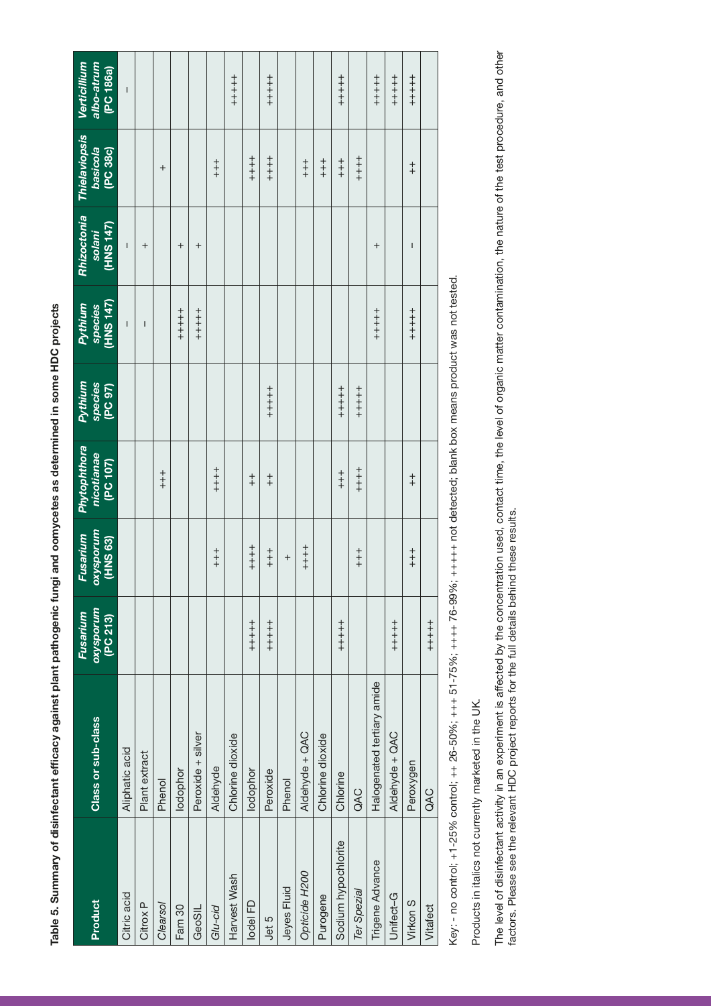| $\overline{a}$                        |  |
|---------------------------------------|--|
| t<br>I                                |  |
|                                       |  |
|                                       |  |
| $\begin{array}{c} \hline \end{array}$ |  |
| $\frac{1}{\epsilon}$                  |  |
|                                       |  |
| ú<br>ư                                |  |
|                                       |  |

|                     |                            | Fusarium              | <b>Fusarium</b>       | <b>Phytophthora</b>    | Pythium            | Pythium              | Rhizoctonia         | Thielaviopsis               | Verticillium            |
|---------------------|----------------------------|-----------------------|-----------------------|------------------------|--------------------|----------------------|---------------------|-----------------------------|-------------------------|
| Product             | Class or sub-class         | oxysporum<br>(PC 213) | oxysporum<br>(HNS 63) | nicotianae<br>[PC 107] | species<br>(PC 97) | species<br>(HNS 147) | (HNS 147)<br>solani | <b>basicola</b><br>(PC 38c) | albo-atrum<br>(PC 186a) |
| Citric acid         | Aliphatic acid             |                       |                       |                        |                    | I                    | I                   |                             | $\overline{1}$          |
| Citrox <sub>P</sub> | Plant extract              |                       |                       |                        |                    | I                    | $\ddot{}$           |                             |                         |
| Clearsol            | Phenol                     |                       |                       | $+ +$                  |                    |                      |                     | $\overline{+}$              |                         |
| Fam 30              | lodophor                   |                       |                       |                        |                    | $+ + +$<br>++ + + +  | $\,{}^+$            |                             |                         |
| GeoSIL              | Peroxide + silver          |                       |                       |                        |                    | $+ + + +$            | $\,{}^+$            |                             |                         |
| Glu-cid             | Aldehyde                   |                       | $+ +$                 | $+ + +$                |                    |                      |                     | $+$<br>$+$                  |                         |
| Harvest Wash        | Chlorine dioxide           |                       |                       |                        |                    |                      |                     |                             | $+ + +$                 |
| lodel FD            | lodophor                   |                       | $+ + +$               | $\ddagger$             |                    |                      |                     | $+ + +$                     |                         |
| Jet 5               | Peroxide                   | $+ + + +$             | $+$<br>++             | $\ddagger$             | $+ + + +$          |                      |                     | $+ + +$                     | $+ + + + +$             |
| Jeyes Fluid         | Phenol                     |                       | $\ddot{}$             |                        |                    |                      |                     |                             |                         |
| Opticide H200       | Aldehyde + QAC             |                       | $+ +$<br>$+ +$        |                        |                    |                      |                     | $+$<br>$+$                  |                         |
| Purogene            | Chlorine dioxide           |                       |                       |                        |                    |                      |                     | $+$<br>$+$                  |                         |
| Sodium hypochlorite | Chlorine                   | $+ + + + +$           |                       | $+$                    | $+ + + +$          |                      |                     | $+$<br>$+$                  | $+ + + + +$             |
| Ter Spezial         | QAC                        |                       | $+$<br>++             | $+ + +$                | $+ + + +$          |                      |                     | $+ + +$                     |                         |
| Trigene Advance     | Halogenated tertiary amide |                       |                       |                        |                    | $+ + + +$            | $^{+}$              |                             | $+ + + + +$             |
| Unifect-G           | Aldehyde + QAC             | $+ + + +$             |                       |                        |                    |                      |                     |                             | $+ + + + +$             |
| Virkon S            | Peroxygen                  |                       | $+ +$                 | $\ddagger$             |                    | $+ + +$<br>++        | I                   | $\ddagger$                  | $+ + + +$               |
| Vitafect            | QAC                        | $+ + + + +$           |                       |                        |                    |                      |                     |                             |                         |
|                     |                            |                       |                       |                        |                    |                      |                     |                             |                         |

Key: - no control; +1-25% control; ++ 26-50%; +++ 51-75%; ++++ 76-99%; +++++ not detected; blank box means product was not tested. Key: - no control; +1-25% control; ++ 26-50%; +++ 51-75%; ++++ 76-99%; +++++ not detected; blank box means product was not tested.

Products in italics not currently marketed in the UK. Products in italics not currently marketed in the UK.

The level of disinfectant activity in an experiment is affected by the concentration used, contact time, the level of organic matter contamination, the nature of the test procedure, and other<br>factors. Please see the releva The level of disinfectant activity in an experiment is affected by the concentration used, contact time, the level of organic matter contamination, the nature of the test procedure, and other factors. Please see the relevant HDC project reports for the full details behind these results.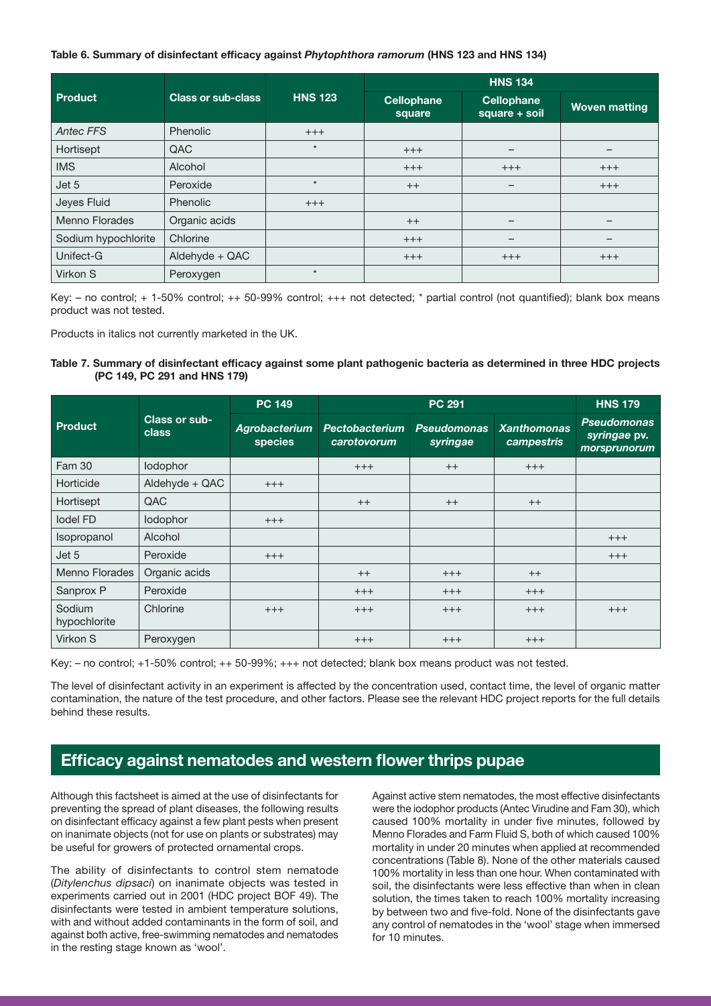#### Table 6. Summary of disinfectant efficacy against *Phytophthora ramorum* (HNS 123 and HNS 134)

|                       |                           |                | <b>HNS 134</b>              |                                    |                      |  |
|-----------------------|---------------------------|----------------|-----------------------------|------------------------------------|----------------------|--|
| <b>Product</b>        | <b>Class or sub-class</b> | <b>HNS 123</b> | <b>Cellophane</b><br>square | <b>Cellophane</b><br>square + soil | <b>Woven matting</b> |  |
| <b>Antec FFS</b>      | Phenolic                  | $+++$          |                             |                                    |                      |  |
| Hortisept             | QAC                       | $\star$        | $+++$                       |                                    |                      |  |
| <b>IMS</b>            | Alcohol                   |                | $+++$                       | $+++$                              | $+++$                |  |
| Jet 5                 | Peroxide                  | $\star$        | $++$                        | -                                  | $+++$                |  |
| Jeyes Fluid           | Phenolic                  | $+++$          |                             |                                    |                      |  |
| <b>Menno Florades</b> | Organic acids             |                | $++$                        | $\qquad \qquad$                    | -                    |  |
| Sodium hypochlorite   | Chlorine                  |                | $+++$                       | $\overline{\phantom{0}}$           |                      |  |
| Unifect-G             | Aldehyde + QAC            |                | $+++$                       | $^{+++}$                           | $+++$                |  |
| Virkon S              | Peroxygen                 | $\star$        |                             |                                    |                      |  |

Key: – no control; + 1-50% control; ++ 50-99% control; +++ not detected; \* partial control (not quantified); blank box means product was not tested.

Products in italics not currently marketed in the UK.

#### Table 7. Summary of disinfectant efficacy against some plant pathogenic bacteria as determined in three HDC projects (PC 149, PC 291 and HNS 179)

|                        |                        | <b>PC 149</b>            |                               | <b>PC 291</b>                  |                                  | <b>HNS 179</b>                                     |
|------------------------|------------------------|--------------------------|-------------------------------|--------------------------------|----------------------------------|----------------------------------------------------|
| Product                | Class or sub-<br>class | Agrobacterium<br>species | Pectobacterium<br>carotovorum | <b>Pseudomonas</b><br>syringae | <b>Xanthomonas</b><br>campestris | <b>Pseudomonas</b><br>syringae pv.<br>morsprunorum |
| Fam 30                 | lodophor               |                          | $+++$                         | $++$                           | $+++$                            |                                                    |
| Horticide              | Aldehyde + QAC         | $+++$                    |                               |                                |                                  |                                                    |
| Hortisept              | QAC                    |                          | $++$                          | $++$                           | $++$                             |                                                    |
| lodel FD               | lodophor               | $+++$                    |                               |                                |                                  |                                                    |
| Isopropanol            | Alcohol                |                          |                               |                                |                                  | $+++$                                              |
| Jet 5                  | Peroxide               | $+++$                    |                               |                                |                                  | $+++$                                              |
| Menno Florades         | Organic acids          |                          | $++$                          | $+++$                          | $++$                             |                                                    |
| Sanprox P              | Peroxide               |                          | $+++$                         | $+++$                          | $+++$                            |                                                    |
| Sodium<br>hypochlorite | Chlorine               | $+++$                    | $+++$                         | $+++$                          | $+++$                            | $+++$                                              |
| Virkon S               | Peroxygen              |                          | $+++$                         | $+++$                          | $+++$                            |                                                    |

Key: – no control; +1-50% control; ++ 50-99%; +++ not detected; blank box means product was not tested.

The level of disinfectant activity in an experiment is affected by the concentration used, contact time, the level of organic matter contamination, the nature of the test procedure, and other factors. Please see the relevant HDC project reports for the full details behind these results.

# Efficacy against nematodes and western flower thrips pupae

Although this factsheet is aimed at the use of disinfectants for preventing the spread of plant diseases, the following results on disinfectant efficacy against a few plant pests when present on inanimate objects (not for use on plants or substrates) may be useful for growers of protected ornamental crops.

The ability of disinfectants to control stem nematode (*Ditylenchus dipsaci*) on inanimate objects was tested in experiments carried out in 2001 (HDC project BOF 49). The disinfectants were tested in ambient temperature solutions, with and without added contaminants in the form of soil, and against both active, free-swimming nematodes and nematodes in the resting stage known as 'wool'.

Against active stem nematodes, the most effective disinfectants were the iodophor products (Antec Virudine and Fam 30), which caused 100% mortality in under five minutes, followed by Menno Florades and Farm Fluid S, both of which caused 100% mortality in under 20 minutes when applied at recommended concentrations (Table 8). None of the other materials caused 100% mortality in less than one hour. When contaminated with soil, the disinfectants were less effective than when in clean solution, the times taken to reach 100% mortality increasing by between two and five-fold. None of the disinfectants gave any control of nematodes in the 'wool' stage when immersed for 10 minutes.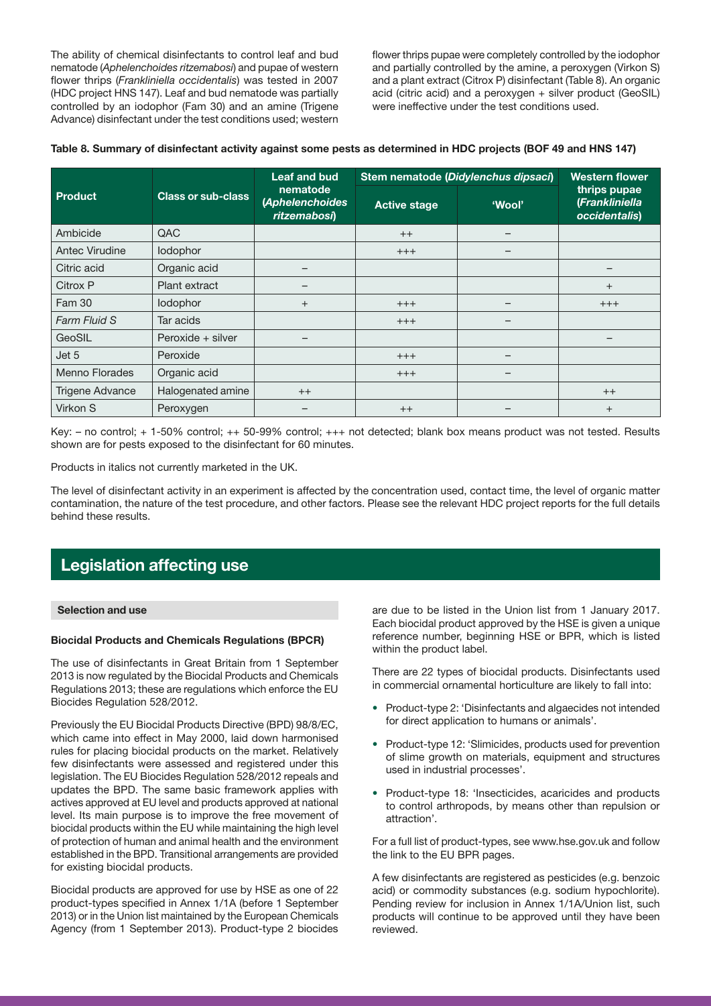The ability of chemical disinfectants to control leaf and bud nematode (*Aphelenchoides ritzemabosi*) and pupae of western flower thrips (*Frankliniella occidentalis*) was tested in 2007 (HDC project HNS 147). Leaf and bud nematode was partially controlled by an iodophor (Fam 30) and an amine (Trigene Advance) disinfectant under the test conditions used; western flower thrips pupae were completely controlled by the iodophor and partially controlled by the amine, a peroxygen (Virkon S) and a plant extract (Citrox P) disinfectant (Table 8). An organic acid (citric acid) and a peroxygen + silver product (GeoSIL) were ineffective under the test conditions used.

|  |  | Table 8. Summary of disinfectant activity against some pests as determined in HDC projects (BOF 49 and HNS 147) |
|--|--|-----------------------------------------------------------------------------------------------------------------|
|--|--|-----------------------------------------------------------------------------------------------------------------|

|                       |                           | Leaf and bud                                | Stem nematode (Didylenchus dipsaci) | <b>Western flower</b> |                                                 |
|-----------------------|---------------------------|---------------------------------------------|-------------------------------------|-----------------------|-------------------------------------------------|
| Product               | <b>Class or sub-class</b> | nematode<br>(Aphelenchoides<br>ritzemabosi) | <b>Active stage</b>                 | 'Wool'                | thrips pupae<br>(Frankliniella<br>occidentalis) |
| Ambicide              | QAC                       |                                             | $++$                                |                       |                                                 |
| Antec Virudine        | lodophor                  |                                             | $+++$                               |                       |                                                 |
| Citric acid           | Organic acid              | —                                           |                                     |                       |                                                 |
| Citrox P              | Plant extract             |                                             |                                     |                       | $+$                                             |
| <b>Fam 30</b>         | lodophor                  | $^{+}$                                      | $^{+++}$                            |                       | $+++$                                           |
| Farm Fluid S          | Tar acids                 |                                             | $+++$                               |                       |                                                 |
| GeoSIL                | Peroxide + silver         |                                             |                                     |                       |                                                 |
| Jet 5                 | Peroxide                  |                                             | $^{+++}$                            |                       |                                                 |
| <b>Menno Florades</b> | Organic acid              |                                             | $+++$                               |                       |                                                 |
| Trigene Advance       | Halogenated amine         | $++$                                        |                                     |                       | $++$                                            |
| Virkon S              | Peroxygen                 |                                             | $++$                                |                       | $^{+}$                                          |

Key: – no control; + 1-50% control; ++ 50-99% control; +++ not detected; blank box means product was not tested. Results shown are for pests exposed to the disinfectant for 60 minutes.

Products in italics not currently marketed in the UK.

The level of disinfectant activity in an experiment is affected by the concentration used, contact time, the level of organic matter contamination, the nature of the test procedure, and other factors. Please see the relevant HDC project reports for the full details behind these results.

# Legislation affecting use

#### Selection and use

#### Biocidal Products and Chemicals Regulations (BPCR)

The use of disinfectants in Great Britain from 1 September 2013 is now regulated by the Biocidal Products and Chemicals Regulations 2013; these are regulations which enforce the EU Biocides Regulation 528/2012.

Previously the EU Biocidal Products Directive (BPD) 98/8/EC, which came into effect in May 2000, laid down harmonised rules for placing biocidal products on the market. Relatively few disinfectants were assessed and registered under this legislation. The EU Biocides Regulation 528/2012 repeals and updates the BPD. The same basic framework applies with actives approved at EU level and products approved at national level. Its main purpose is to improve the free movement of biocidal products within the EU while maintaining the high level of protection of human and animal health and the environment established in the BPD. Transitional arrangements are provided for existing biocidal products.

Biocidal products are approved for use by HSE as one of 22 product-types specified in Annex 1/1A (before 1 September 2013) or in the Union list maintained by the European Chemicals Agency (from 1 September 2013). Product-type 2 biocides are due to be listed in the Union list from 1 January 2017. Each biocidal product approved by the HSE is given a unique reference number, beginning HSE or BPR, which is listed within the product label.

There are 22 types of biocidal products. Disinfectants used in commercial ornamental horticulture are likely to fall into:

- Product-type 2: 'Disinfectants and algaecides not intended for direct application to humans or animals'.
- Product-type 12: 'Slimicides, products used for prevention of slime growth on materials, equipment and structures used in industrial processes'.
- Product-type 18: 'Insecticides, acaricides and products to control arthropods, by means other than repulsion or attraction'.

For a full list of product-types, see www.hse.gov.uk and follow the link to the EU BPR pages.

A few disinfectants are registered as pesticides (e.g. benzoic acid) or commodity substances (e.g. sodium hypochlorite). Pending review for inclusion in Annex 1/1A/Union list, such products will continue to be approved until they have been reviewed.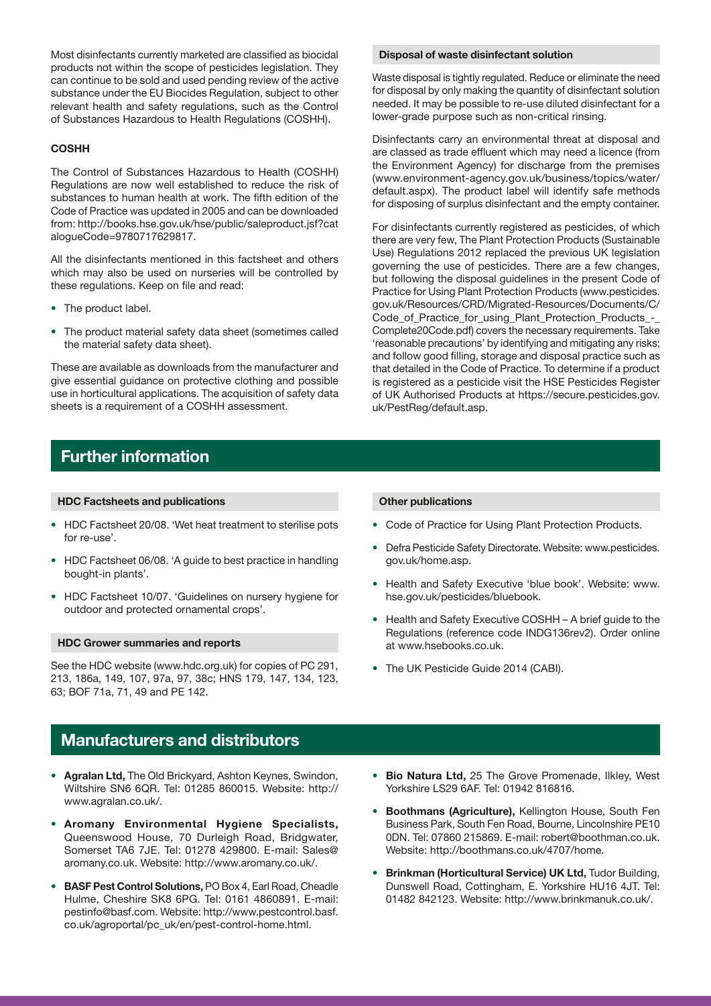Most disinfectants currently marketed are classified as biocidal products not within the scope of pesticides legislation. They can continue to be sold and used pending review of the active substance under the EU Biocides Regulation, subject to other relevant health and safety regulations, such as the Control of Substances Hazardous to Health Regulations (COSHH).

#### **COSHH**

The Control of Substances Hazardous to Health (COSHH) Regulations are now well established to reduce the risk of substances to human health at work. The fifth edition of the Code of Practice was updated in 2005 and can be downloaded from: http://books.hse.gov.uk/hse/public/saleproduct.jsf?cat alogueCode=9780717629817.

All the disinfectants mentioned in this factsheet and others which may also be used on nurseries will be controlled by these regulations. Keep on file and read:

- The product label.
- The product material safety data sheet (sometimes called the material safety data sheet).

These are available as downloads from the manufacturer and give essential guidance on protective clothing and possible use in horticultural applications. The acquisition of safety data sheets is a requirement of a COSHH assessment.

#### Disposal of waste disinfectant solution

Waste disposal is tightly regulated. Reduce or eliminate the need for disposal by only making the quantity of disinfectant solution needed. It may be possible to re-use diluted disinfectant for a lower-grade purpose such as non-critical rinsing.

Disinfectants carry an environmental threat at disposal and are classed as trade effluent which may need a licence (from the Environment Agency) for discharge from the premises (www.environment-agency.gov.uk/business/topics/water/ default.aspx). The product label will identify safe methods for disposing of surplus disinfectant and the empty container.

For disinfectants currently registered as pesticides, of which there are very few, The Plant Protection Products (Sustainable Use) Regulations 2012 replaced the previous UK legislation governing the use of pesticides. There are a few changes, but following the disposal guidelines in the present Code of Practice for Using Plant Protection Products (www.pesticides. gov.uk/Resources/CRD/Migrated-Resources/Documents/C/ Code\_of\_Practice\_for\_using\_Plant\_Protection\_Products\_-\_ Complete20Code.pdf) covers the necessary requirements. Take 'reasonable precautions' by identifying and mitigating any risks; and follow good filling, storage and disposal practice such as that detailed in the Code of Practice. To determine if a product is registered as a pesticide visit the HSE Pesticides Register of UK Authorised Products at https://secure.pesticides.gov. uk/PestReg/default.asp.

### Further information

#### HDC Factsheets and publications

- HDC Factsheet 20/08. 'Wet heat treatment to sterilise pots for re-use'.
- HDC Factsheet 06/08. 'A guide to best practice in handling bought-in plants'.
- HDC Factsheet 10/07. 'Guidelines on nursery hygiene for outdoor and protected ornamental crops'.

#### HDC Grower summaries and reports

See the HDC website (www.hdc.org.uk) for copies of PC 291, 213, 186a, 149, 107, 97a, 97, 38c; HNS 179, 147, 134, 123, 63; BOF 71a, 71, 49 and PE 142.

### Manufacturers and distributors

- Agralan Ltd, The Old Brickyard, Ashton Keynes, Swindon, Wiltshire SN6 6QR. Tel: 01285 860015. Website: http:// www.agralan.co.uk/.
- Aromany Environmental Hygiene Specialists, Queenswood House, 70 Durleigh Road, Bridgwater, Somerset TA6 7JE. Tel: 01278 429800. E-mail: Sales@ aromany.co.uk. Website: http://www.aromany.co.uk/.
- BASF Pest Control Solutions, PO Box 4, Earl Road, Cheadle Hulme, Cheshire SK8 6PG. Tel: 0161 4860891. E-mail: pestinfo@basf.com. Website: http://www.pestcontrol.basf. co.uk/agroportal/pc\_uk/en/pest-control-home.html.

#### Other publications

- Code of Practice for Using Plant Protection Products.
- Defra Pesticide Safety Directorate. Website: www.pesticides. gov.uk/home.asp.
- Health and Safety Executive 'blue book'. Website: www. hse.gov.uk/pesticides/bluebook.
- Health and Safety Executive COSHH A brief guide to the Regulations (reference code INDG136rev2). Order online at www.hsebooks.co.uk.
- The UK Pesticide Guide 2014 (CABI).
- Bio Natura Ltd, 25 The Grove Promenade, Ilkley, West Yorkshire LS29 6AF. Tel: 01942 816816.
- Boothmans (Agriculture), Kellington House, South Fen Business Park, South Fen Road, Bourne, Lincolnshire PE10 0DN. Tel: 07860 215869. E-mail: robert@boothman.co.uk. Website: http://boothmans.co.uk/4707/home.
- Brinkman (Horticultural Service) UK Ltd, Tudor Building, Dunswell Road, Cottingham, E. Yorkshire HU16 4JT. Tel: 01482 842123. Website: http://www.brinkmanuk.co.uk/.